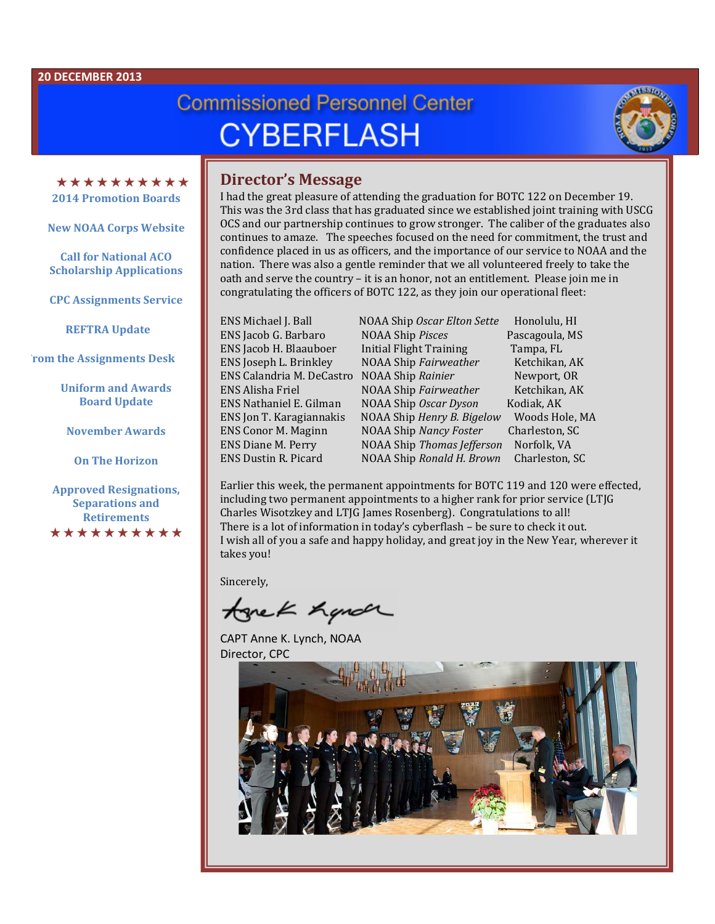# **Commissioned Personnel Center CYBERFLASH**



\*\*\*\*\*\*\*\*\*\* **2014 Promotion Boards**

**New NOAA Corps Website**

**Call for National ACO Scholarship Applications** 

**CPC Assignments Service**

 **REFTRA Update**

**From the Assignments Desk**

**Uniform and Awards Board Update**

**November Awards**

**On The Horizon**

**Approved Resignations, Separations and Retirements** \*\*\*\*\*\*\*\*\*\*

## **Director's Message**

I had the great pleasure of attending the graduation for BOTC 122 on December 19. This was the 3rd class that has graduated since we established joint training with USCG OCS and our partnership continues to grow stronger. The caliber of the graduates also continues to amaze. The speeches focused on the need for commitment, the trust and confidence placed in us as officers, and the importance of our service to NOAA and the nation. There was also a gentle reminder that we all volunteered freely to take the oath and serve the country – it is an honor, not an entitlement. Please join me in congratulating the officers of BOTC 122, as they join our operational fleet:

ENS Michael J. Ball NOAA Ship *Oscar Elton Sette* Honolulu, HI ENS Jacob G. Barbaro NOAA Ship *Pisces* Pascagoula,<br>ENS Jacob H. Blaauboer Initial Flight Training Tampa. FL ENS Jacob H. Blaauboer Initial Flight Training Tampa, FL<br>
ENS Joseph L. Brinkley NOAA Ship *Fairweather* Ketchikan, AK **NOAA Ship** *Fairweather* Ketchikan, AK<br>NOAA Ship *Rainier* Newport. OR ENS Calandria M. DeCastro NOAA Ship *Rainier* Newport, OR<br>ENS Alisha Friel NOAA Ship *Fairweather* Ketchikan, AK ENS Alisha Friel NOAA Ship *Fairweather* Ketchikan, AK ENS Nathaniel E. Gilman NOAA Ship *Oscar Dyson* Kodiak, AK ENS Jon T. Karagiannakis NOAA Ship *Henry B. Bigelow* Woods Hole, I<br>ENS Conor M. Maginn NOAA Ship *Nancy Foster* Charleston, SC ENS Conor M. Maginn NOAA Ship *Nancy Foster* Charleston, S<br>ENS Diane M. Perry NOAA Ship *Thomas Jefferson* Norfolk, VA ENS Diane M. Perry NOAA Ship *Thomas Jefferson* Norfolk, VA **NOAA Ship Ronald H. Brown** 

Earlier this week, the permanent appointments for BOTC 119 and 120 were effected, including two permanent appointments to a higher rank for prior service (LTJG Charles Wisotzkey and LTJG James Rosenberg). Congratulations to all! There is a lot of information in today's cyberflash – be sure to check it out. I wish all of you a safe and happy holiday, and great joy in the New Year, wherever it takes you!

Sincerely,

tonek handr

CAPT Anne K. Lynch, NOAA Director, CPC

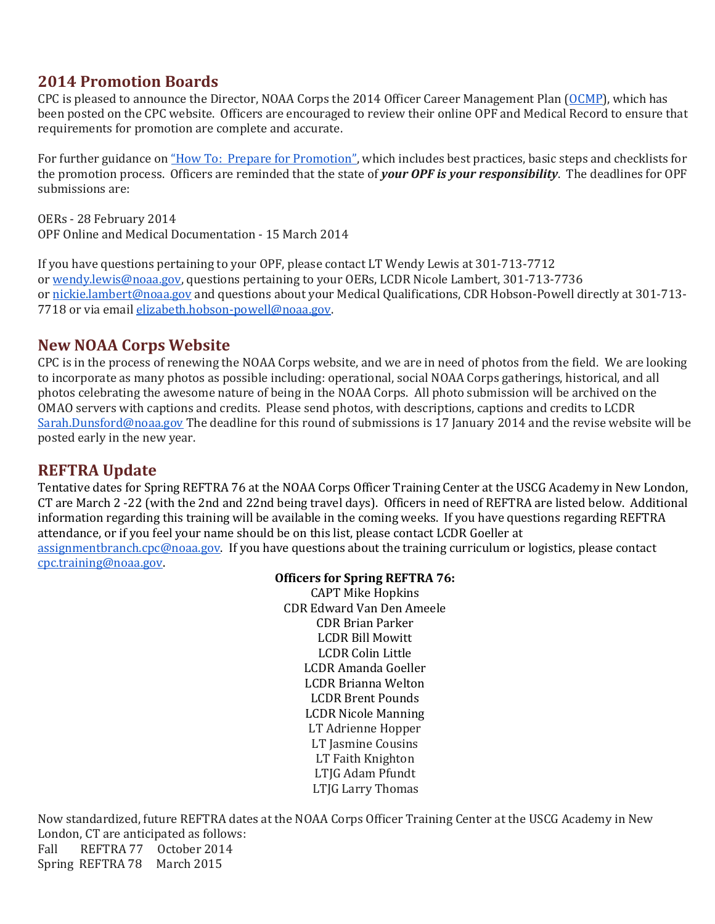# **2014 Promotion Boards**

CPC is pleased to announce the Director, NOAA Corps the 2014 Officer Career Management Plan [\(OCMP\)](http://www.corpscpc.noaa.gov/pdf/fy2014_officer_mgmt_plan.pdf), which has been posted on the CPC website. Officers are encouraged to review their online OPF and Medical Record to ensure that requirements for promotion are complete and accurate.

For further guidance on ["How To: Prepare for Promotion",](http://www.corpscpc.noaa.gov/procedures/pdf/prepare_for_promotions.pdf) which includes best practices, basic steps and checklists for the promotion process. Officers are reminded that the state of *your OPF is your responsibility*. The deadlines for OPF submissions are:

OERs - 28 February 2014 OPF Online and Medical Documentation - 15 March 2014

If you have questions pertaining to your OPF, please contact LT Wendy Lewis at 301-713-7712 or [wendy.lewis@noaa.gov,](mailto:wendy.lewis@noaa.gov) questions pertaining to your OERs, LCDR Nicole Lambert, 301-713-7736 or [nickie.lambert@noaa.gov](mailto:nickie.lambert@noaa.gov) and questions about your Medical Qualifications, CDR Hobson-Powell directly at 301-713-7718 or via email [elizabeth.hobson-powell@noaa.gov.](mailto:elizabeth.hobson-powell@noaa.gov)

# **New NOAA Corps Website**

CPC is in the process of renewing the NOAA Corps website, and we are in need of photos from the field. We are looking to incorporate as many photos as possible including: operational, social NOAA Corps gatherings, historical, and all photos celebrating the awesome nature of being in the NOAA Corps. All photo submission will be archived on the OMAO servers with captions and credits. Please send photos, with descriptions, captions and credits to LCDR [Sarah.Dunsford@noaa.gov](mailto:Sarah.Dunsford@noaa.gov) The deadline for this round of submissions is 17 January 2014 and the revise website will be posted early in the new year.

## **REFTRA Update**

Tentative dates for Spring REFTRA 76 at the NOAA Corps Officer Training Center at the USCG Academy in New London, CT are March 2 -22 (with the 2nd and 22nd being travel days). Officers in need of REFTRA are listed below. Additional information regarding this training will be available in the coming weeks. If you have questions regarding REFTRA attendance, or if you feel your name should be on this list, please contact LCDR Goeller at [assignmentbranch.cpc@noaa.gov.](mailto:assignmentbranch.cpc@noaa.gov) If you have questions about the training curriculum or logistics, please contact [cpc.training@noaa.gov.](mailto:cpc.training@noaa.gov)

#### **Officers for Spring REFTRA 76:**

CAPT Mike Hopkins CDR Edward Van Den Ameele CDR Brian Parker LCDR Bill Mowitt LCDR Colin Little LCDR Amanda Goeller LCDR Brianna Welton LCDR Brent Pounds LCDR Nicole Manning LT Adrienne Hopper LT Jasmine Cousins LT Faith Knighton LTJG Adam Pfundt LTJG Larry Thomas

Now standardized, future REFTRA dates at the NOAA Corps Officer Training Center at the USCG Academy in New London, CT are anticipated as follows:<br>Fall REFTRA 77 October 2014 REFTRA 77 October 2014 Spring REFTRA 78 March 2015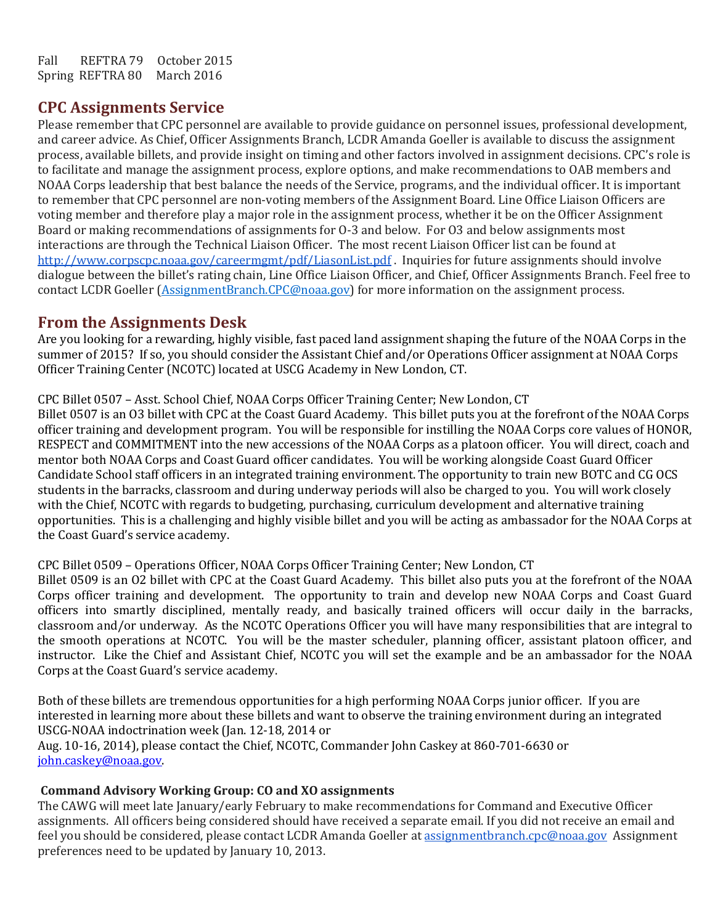Fall REFTRA 79 October 2015<br>Spring REFTRA 80 March 2016 Spring REFTRA 80

## **CPC Assignments Service**

Please remember that CPC personnel are available to provide guidance on personnel issues, professional development, and career advice. As Chief, Officer Assignments Branch, LCDR Amanda Goeller is available to discuss the assignment process, available billets, and provide insight on timing and other factors involved in assignment decisions. CPC's role is to facilitate and manage the assignment process, explore options, and make recommendations to OAB members and NOAA Corps leadership that best balance the needs of the Service, programs, and the individual officer. It is important to remember that CPC personnel are non-voting members of the Assignment Board. Line Office Liaison Officers are voting member and therefore play a major role in the assignment process, whether it be on the Officer Assignment Board or making recommendations of assignments for O-3 and below. For O3 and below assignments most interactions are through the Technical Liaison Officer. The most recent Liaison Officer list can be found at <http://www.corpscpc.noaa.gov/careermgmt/pdf/LiasonList.pdf>. Inquiries for future assignments should involve dialogue between the billet's rating chain, Line Office Liaison Officer, and Chief, Officer Assignments Branch. Feel free to contact LCDR Goeller [\(AssignmentBranch.CPC@noaa.gov\)](mailto:AssignmentBranch.CPC@noaa.gov) for more information on the assignment process.

## **From the Assignments Desk**

Are you looking for a rewarding, highly visible, fast paced land assignment shaping the future of the NOAA Corps in the summer of 2015? If so, you should consider the Assistant Chief and/or Operations Officer assignment at NOAA Corps Officer Training Center (NCOTC) located at USCG Academy in New London, CT.

CPC Billet 0507 – Asst. School Chief, NOAA Corps Officer Training Center; New London, CT

Billet 0507 is an O3 billet with CPC at the Coast Guard Academy. This billet puts you at the forefront of the NOAA Corps officer training and development program. You will be responsible for instilling the NOAA Corps core values of HONOR, RESPECT and COMMITMENT into the new accessions of the NOAA Corps as a platoon officer. You will direct, coach and mentor both NOAA Corps and Coast Guard officer candidates. You will be working alongside Coast Guard Officer Candidate School staff officers in an integrated training environment. The opportunity to train new BOTC and CG OCS students in the barracks, classroom and during underway periods will also be charged to you. You will work closely with the Chief, NCOTC with regards to budgeting, purchasing, curriculum development and alternative training opportunities. This is a challenging and highly visible billet and you will be acting as ambassador for the NOAA Corps at the Coast Guard's service academy.

#### CPC Billet 0509 – Operations Officer, NOAA Corps Officer Training Center; New London, CT

Billet 0509 is an O2 billet with CPC at the Coast Guard Academy. This billet also puts you at the forefront of the NOAA Corps officer training and development. The opportunity to train and develop new NOAA Corps and Coast Guard officers into smartly disciplined, mentally ready, and basically trained officers will occur daily in the barracks, classroom and/or underway. As the NCOTC Operations Officer you will have many responsibilities that are integral to the smooth operations at NCOTC. You will be the master scheduler, planning officer, assistant platoon officer, and instructor. Like the Chief and Assistant Chief, NCOTC you will set the example and be an ambassador for the NOAA Corps at the Coast Guard's service academy.

Both of these billets are tremendous opportunities for a high performing NOAA Corps junior officer. If you are interested in learning more about these billets and want to observe the training environment during an integrated USCG-NOAA indoctrination week (Jan. 12-18, 2014 or Aug. 10-16, 2014), please contact the Chief, NCOTC, Commander John Caskey at 860-701-6630 or [john.caskey@noaa.gov.](mailto:john.caskey@noaa.gov)

#### **Command Advisory Working Group: CO and XO assignments**

The CAWG will meet late January/early February to make recommendations for Command and Executive Officer assignments. All officers being considered should have received a separate email. If you did not receive an email and feel you should be considered, please contact LCDR Amanda Goeller at [assignmentbranch.cpc@noaa.gov](mailto:assignmentbranch.cpc@noaa.gov) Assignment preferences need to be updated by January 10, 2013.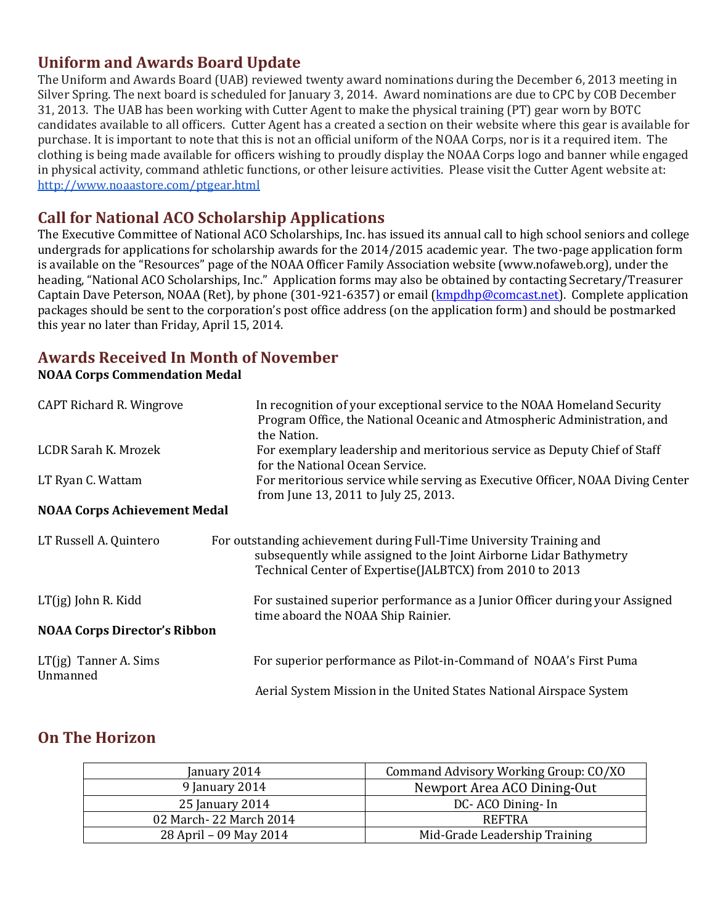# **Uniform and Awards Board Update**

The Uniform and Awards Board (UAB) reviewed twenty award nominations during the December 6, 2013 meeting in Silver Spring. The next board is scheduled for January 3, 2014. Award nominations are due to CPC by COB December 31, 2013. The UAB has been working with Cutter Agent to make the physical training (PT) gear worn by BOTC candidates available to all officers. Cutter Agent has a created a section on their website where this gear is available for purchase. It is important to note that this is not an official uniform of the NOAA Corps, nor is it a required item. The clothing is being made available for officers wishing to proudly display the NOAA Corps logo and banner while engaged in physical activity, command athletic functions, or other leisure activities. Please visit the Cutter Agent website at: <http://www.noaastore.com/ptgear.html>

# **Call for National ACO Scholarship Applications**

The Executive Committee of National ACO Scholarships, Inc. has issued its annual call to high school seniors and college undergrads for applications for scholarship awards for the 2014/2015 academic year. The two-page application form is available on the "Resources" page of the NOAA Officer Family Association website (www.nofaweb.org), under the heading, "National ACO Scholarships, Inc." Application forms may also be obtained by contacting Secretary/Treasurer Captain Dave Peterson, NOAA (Ret), by phone (301-921-6357) or email [\(kmpdhp@comcast.net\)](mailto:kmpdhp@comcast.net). Complete application packages should be sent to the corporation's post office address (on the application form) and should be postmarked this year no later than Friday, April 15, 2014.

# **Awards Received In Month of November**

**NOAA Corps Commendation Medal**

| CAPT Richard R. Wingrove            | In recognition of your exceptional service to the NOAA Homeland Security<br>Program Office, the National Oceanic and Atmospheric Administration, and<br>the Nation.                                    |
|-------------------------------------|--------------------------------------------------------------------------------------------------------------------------------------------------------------------------------------------------------|
| LCDR Sarah K. Mrozek                | For exemplary leadership and meritorious service as Deputy Chief of Staff<br>for the National Ocean Service.                                                                                           |
| LT Ryan C. Wattam                   | For meritorious service while serving as Executive Officer, NOAA Diving Center<br>from June 13, 2011 to July 25, 2013.                                                                                 |
| <b>NOAA Corps Achievement Medal</b> |                                                                                                                                                                                                        |
| LT Russell A. Quintero              | For outstanding achievement during Full-Time University Training and<br>subsequently while assigned to the Joint Airborne Lidar Bathymetry<br>Technical Center of Expertise(JALBTCX) from 2010 to 2013 |
| $LT(jg)$ John R. Kidd               | For sustained superior performance as a Junior Officer during your Assigned<br>time aboard the NOAA Ship Rainier.                                                                                      |
| <b>NOAA Corps Director's Ribbon</b> |                                                                                                                                                                                                        |
| $LT(jg)$ Tanner A. Sims<br>Unmanned | For superior performance as Pilot-in-Command of NOAA's First Puma                                                                                                                                      |
|                                     | Aerial System Mission in the United States National Airspace System                                                                                                                                    |

## **On The Horizon**

| January 2014           | Command Advisory Working Group: CO/XO |
|------------------------|---------------------------------------|
| 9 January 2014         | Newport Area ACO Dining-Out           |
| 25 January 2014        | DC-ACO Dining-In                      |
| 02 March-22 March 2014 | <b>REFTRA</b>                         |
| 28 April - 09 May 2014 | Mid-Grade Leadership Training         |